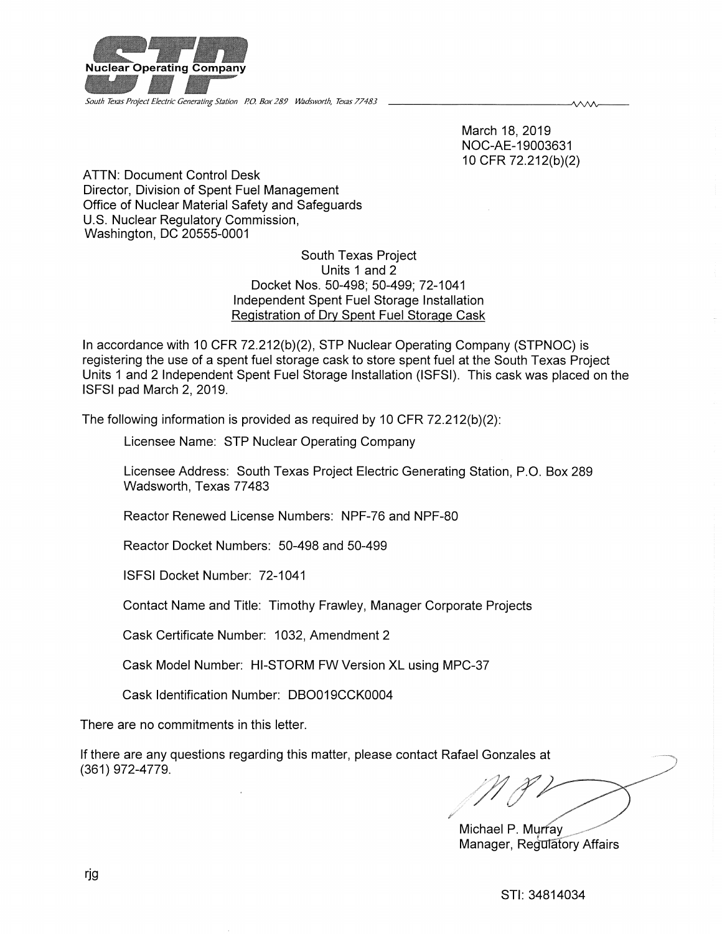

South Texas Project Electric Generating Station P.O. Box 289 Wadsworth. Texas 77483

March 18,2019 NOC-AE-19003631 10CFR 72.212(b)(2)

ᄾᄉᄉᄉ

ATTN: Document Control Desk Director, Division of Spent Fuel Management Office of Nuclear Material Safety and Safeguards U.S. Nuclear Regulatory Commission, Washington, DC 20555-0001

> South Texas Project Units 1 and 2 Docket Nos. 50-498; 50-499; 72-1041 Independent Spent Fuel Storage Installation Registration of Dry Spent Fuel Storage Cask

In accordance with 10 CFR 72.212(b)(2), STP Nuclear Operating Company (STPNOC) is registering the use of a spent fuel storage cask to store spent fuel at the South Texas Project Units 1 and 2 Independent Spent Fuel Storage Installation (ISFSI). This cask was placed on the ISFSI pad March 2, 2019.

The following information is provided as required by 10 CFR 72.212(b)(2):

Licensee Name: STP Nuclear Operating Company

Licensee Address: South Texas Project Electric Generating Station, P.O. Box 289 Wadsworth, Texas 77483

Reactor Renewed License Numbers: NPF-76 and NPF-80

Reactor Docket Numbers: 50-498 and 50-499

ISFSI Docket Number: 72-1041

Contact Name and Title: Timothy Frawley, Manager Corporate Projects

Cask Certificate Number: 1032, Amendment 2

Cask Model Number: HI-STORM FW Version XL using MPC-37

Cask Identification Number: DB0019CCK0004

There are no commitments in this letter.

If there are any questions regarding this matter, please contact Rafael Gonzales at (361)972-4779.

Michael P. Murfay \_\_\_ Manager, Regulatory Affairs